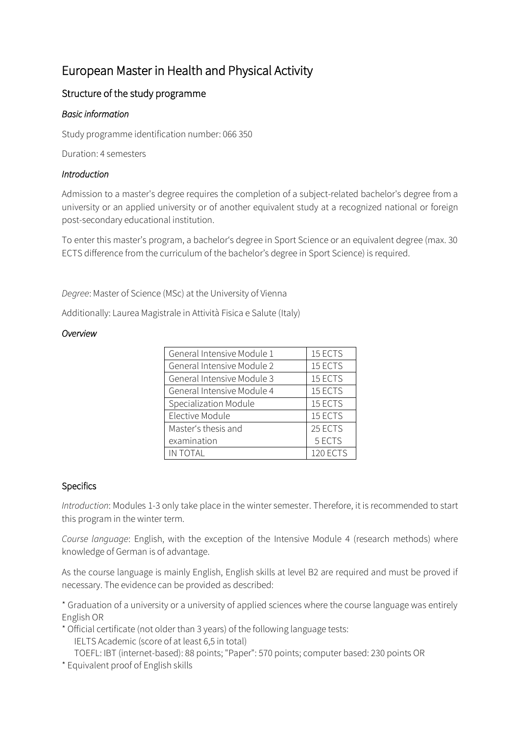# European Master in Health and Physical Activity

## Structure of the study programme

#### *Basic information*

Study programme identification number: 066 350

Duration: 4 semesters

### *Introduction*

Admission to a master's degree requires the completion of a subject-related bachelor's degree from a university or an applied university or of another equivalent study at a recognized national or foreign post-secondary educational institution.

To enter this master's program, a bachelor's degree in Sport Science or an equivalent degree (max. 30 ECTS difference from the curriculum of the bachelor's degree in Sport Science) is required.

*Degree*: Master of Science (MSc) at the University of Vienna

Additionally: Laurea Magistrale in Attività Fisica e Salute (Italy)

#### *Overview*

| General Intensive Module 1 | 15 ECTS  |
|----------------------------|----------|
|                            |          |
| General Intensive Module 2 | 15 ECTS  |
| General Intensive Module 3 | 15 ECTS  |
| General Intensive Module 4 | 15 ECTS  |
| Specialization Module      | 15 ECTS  |
| Elective Module            | 15 ECTS  |
| Master's thesis and        | 25 ECTS  |
| examination                | 5 ECTS   |
| IN TOTAL                   | 120 ECTS |

#### Specifics

*Introduction*: Modules 1-3 only take place in the winter semester. Therefore, it is recommended to start this program in the winter term.

*Course language*: English, with the exception of the Intensive Module 4 (research methods) where knowledge of German is of advantage.

As the course language is mainly English, English skills at level B2 are required and must be proved if necessary. The evidence can be provided as described:

\* Graduation of a university or a university of applied sciences where the course language was entirely English OR

\* Official certificate (not older than 3 years) of the following language tests:

IELTS Academic (score of at least 6,5 in total)

TOEFL: IBT (internet-based): 88 points; "Paper": 570 points; computer based: 230 points OR

\* Equivalent proof of English skills